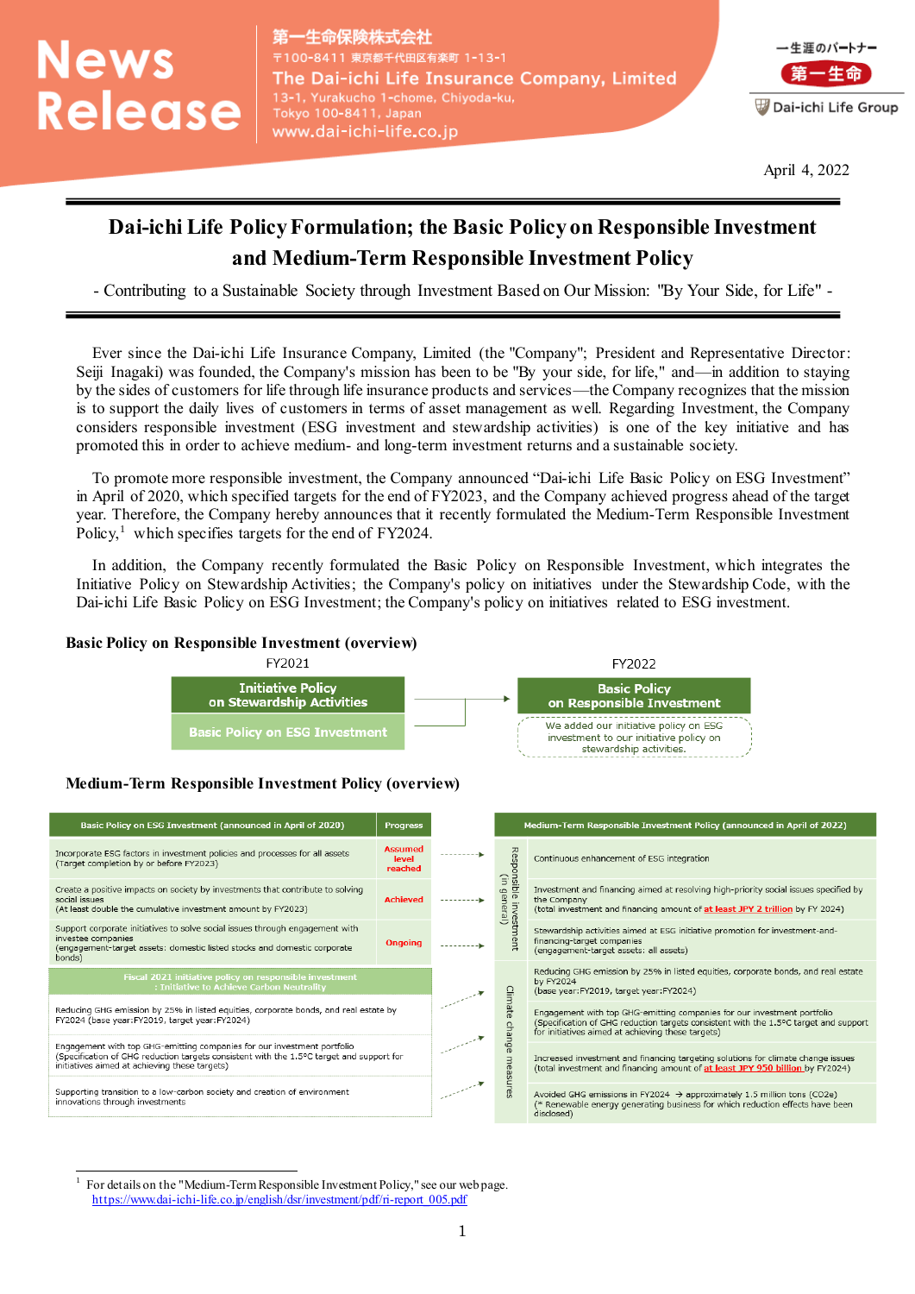# **News** Release

−生命保険株式会社 〒100-8411 東京都千代田区有楽町 1-13-1 The Dai-ichi Life Insurance Company, Limited 13-1, Yurakucho 1-chome, Chiyoda-ku, Tokyo 100-8411, Japan www.dai-ichi-life.co.jp



April 4, 2022

# **Dai-ichi Life Policy Formulation; the Basic Policy on Responsible Investment and Medium-Term Responsible Investment Policy**

- Contributing to a Sustainable Society through Investment Based on Our Mission: "By Your Side, for Life" -

Ever since the Dai-ichi Life Insurance Company, Limited (the "Company"; President and Representative Director: Seiji Inagaki) was founded, the Company's mission has been to be "By your side, for life," and—in addition to staying by the sides of customers for life through life insurance products and services—the Company recognizes that the mission is to support the daily lives of customers in terms of asset management as well. Regarding Investment, the Company considers responsible investment (ESG investment and stewardship activities) is one of the key initiative and has promoted this in order to achieve medium- and long-term investment returns and a sustainable society.

To promote more responsible investment, the Company announced "Dai-ichi Life Basic Policy on ESG Investment" in April of 2020, which specified targets for the end of FY2023, and the Company achieved progress ahead of the target year. Therefore, the Company hereby announces that it recently formulated the Medium-Term Responsible Investment Policy,<sup>1</sup> which specifies targets for the end of FY2024.

In addition, the Company recently formulated the Basic Policy on Responsible Investment, which integrates the Initiative Policy on Stewardship Activities; the Company's policy on initiatives under the Stewardship Code, with the Dai-ichi Life Basic Policy on ESG Investment; the Company's policy on initiatives related to ESG investment.

### **Basic Policy on Responsible Investment (overview)**



# **Medium-Term Responsible Investment Policy (overview)**

| Basic Policy on ESG Investment (announced in April of 2020)                                                                                                                                                          | <b>Progress</b>                    |             |                                                           | Medium-Term Responsible Investment Policy (announced in April of 2022)                                                                                                                                               |  |
|----------------------------------------------------------------------------------------------------------------------------------------------------------------------------------------------------------------------|------------------------------------|-------------|-----------------------------------------------------------|----------------------------------------------------------------------------------------------------------------------------------------------------------------------------------------------------------------------|--|
| Incorporate ESG factors in investment policies and processes for all assets<br>(Target completion by or before FY2023)                                                                                               | <b>Assumed</b><br>level<br>reached | ----------- | Responsible<br>$\widehat{=}$<br>general)<br>Sanu a<br>ent | Continuous enhancement of ESG integration                                                                                                                                                                            |  |
| Create a positive impacts on society by investments that contribute to solving<br>social issues<br>(At least double the cumulative investment amount by FY2023)                                                      | <b>Achieved</b>                    |             |                                                           | Investment and financing aimed at resolving high-priority social issues specified by<br>the Company<br>(total investment and financing amount of at least JPY 2 trillion by FY 2024)                                 |  |
| Support corporate initiatives to solve social issues through engagement with<br>investee companies<br>(engagement-target assets: domestic listed stocks and domestic corporate<br>bonds)                             | Ongoing                            |             |                                                           | Stewardship activities aimed at ESG initiative promotion for investment-and-<br>financing-target companies<br>(engagement-target assets: all assets)                                                                 |  |
| Fiscal 2021 initiative policy on responsible investment<br>: Initiative to Achieve Carbon Neutrality                                                                                                                 |                                    |             | Glim<br>ate                                               | Reducing GHG emission by 25% in listed equities, corporate bonds, and real estate<br>by FY2024<br>(base year: FY2019, target year: FY2024)                                                                           |  |
| Reducing GHG emission by 25% in listed equities, corporate bonds, and real estate by<br>FY2024 (base year: FY2019, target year: FY2024)                                                                              |                                    | change      |                                                           | Engagement with top GHG-emitting companies for our investment portfolio<br>(Specification of GHG reduction targets consistent with the 1.5°C target and support<br>for initiatives aimed at achieving these targets) |  |
| Engagement with top GHG-emitting companies for our investment portfolio<br>(Specification of GHG reduction targets consistent with the 1.5°C target and support for<br>initiatives aimed at achieving these targets) |                                    |             | measu                                                     | Increased investment and financing targeting solutions for climate change issues<br>(total investment and financing amount of at least JPY 950 billion by FY2024)                                                    |  |
| Supporting transition to a low-carbon society and creation of environment<br>innovations through investments                                                                                                         |                                    |             | Les                                                       | Avoided GHG emissions in FY2024 $\rightarrow$ approximately 1.5 million tons (CO2e)<br>(* Renewable energy generating business for which reduction effects have been<br>disclosed)                                   |  |
|                                                                                                                                                                                                                      |                                    |             |                                                           |                                                                                                                                                                                                                      |  |

 $\overline{a}$ 1 For details on the "Medium-Term Responsible Investment Policy," see our web page. [https://www.dai-ichi-life.co.jp/english/dsr/investment/pdf/ri-report\\_005.pdf](https://www.dai-ichi-life.co.jp/english/dsr/investment/pdf/ri-report_005.pdf)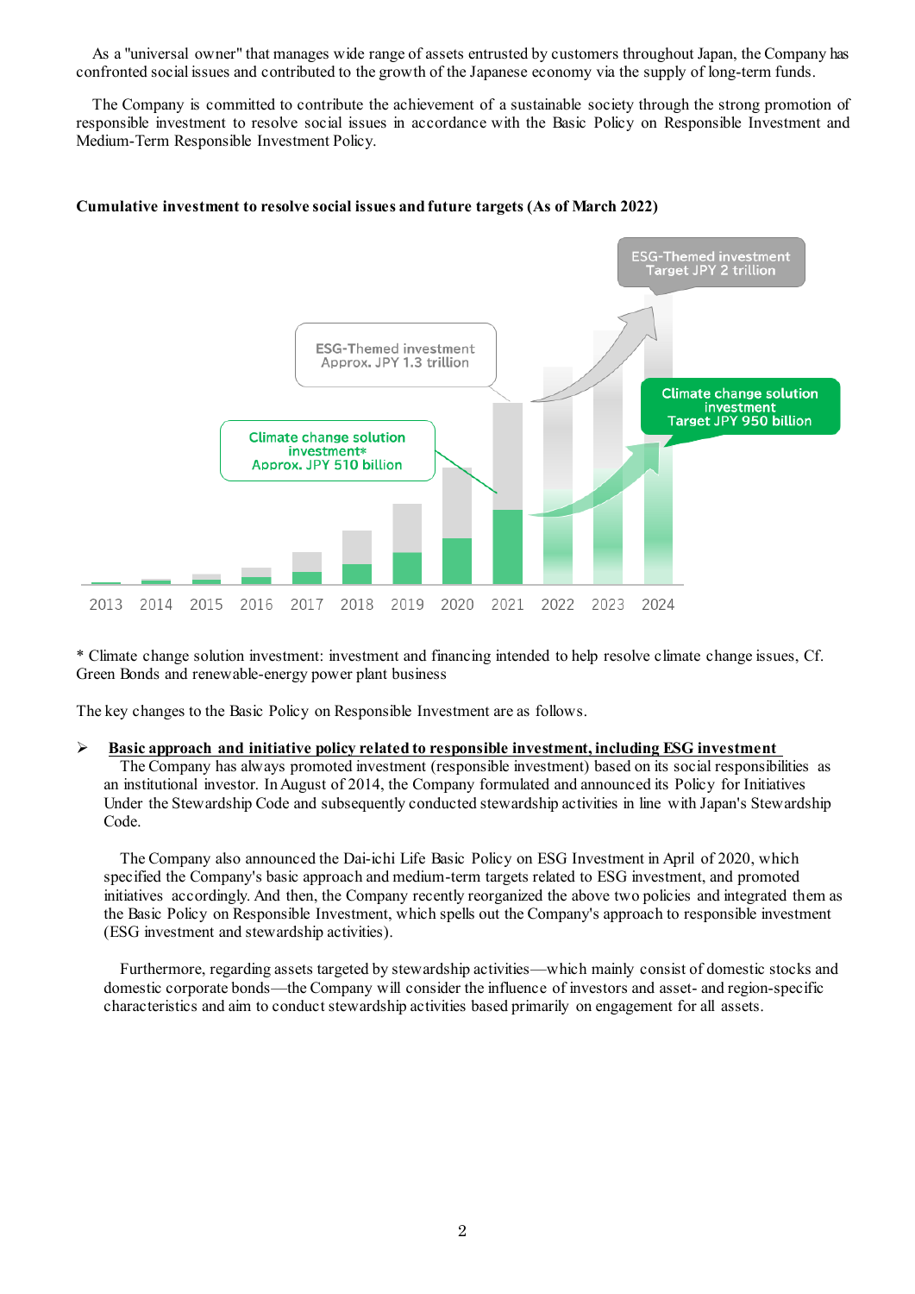As a "universal owner" that manages wide range of assets entrusted by customers throughout Japan, the Company has confronted social issues and contributed to the growth of the Japanese economy via the supply of long-term funds.

The Company is committed to contribute the achievement of a sustainable society through the strong promotion of responsible investment to resolve social issues in accordance with the Basic Policy on Responsible Investment and Medium-Term Responsible Investment Policy.

#### **Cumulative investment to resolve social issues and future targets (As of March 2022)**



\* Climate change solution investment: investment and financing intended to help resolve climate change issues, Cf. Green Bonds and renewable-energy power plant business

The key changes to the Basic Policy on Responsible Investment are as follows.

#### **Basic approach and initiative policy related to responsible investment, including ESG investment**

The Company has always promoted investment (responsible investment) based on its social responsibilities as an institutional investor. In August of 2014, the Company formulated and announced its Policy for Initiatives Under the Stewardship Code and subsequently conducted stewardship activities in line with Japan's Stewardship Code.

The Company also announced the Dai-ichi Life Basic Policy on ESG Investment in April of 2020, which specified the Company's basic approach and medium-term targets related to ESG investment, and promoted initiatives accordingly. And then, the Company recently reorganized the above two policies and integrated them as the Basic Policy on Responsible Investment, which spells out the Company's approach to responsible investment (ESG investment and stewardship activities).

Furthermore, regarding assets targeted by stewardship activities—which mainly consist of domestic stocks and domestic corporate bonds—the Company will consider the influence of investors and asset- and region-specific characteristics and aim to conduct stewardship activities based primarily on engagement for all assets.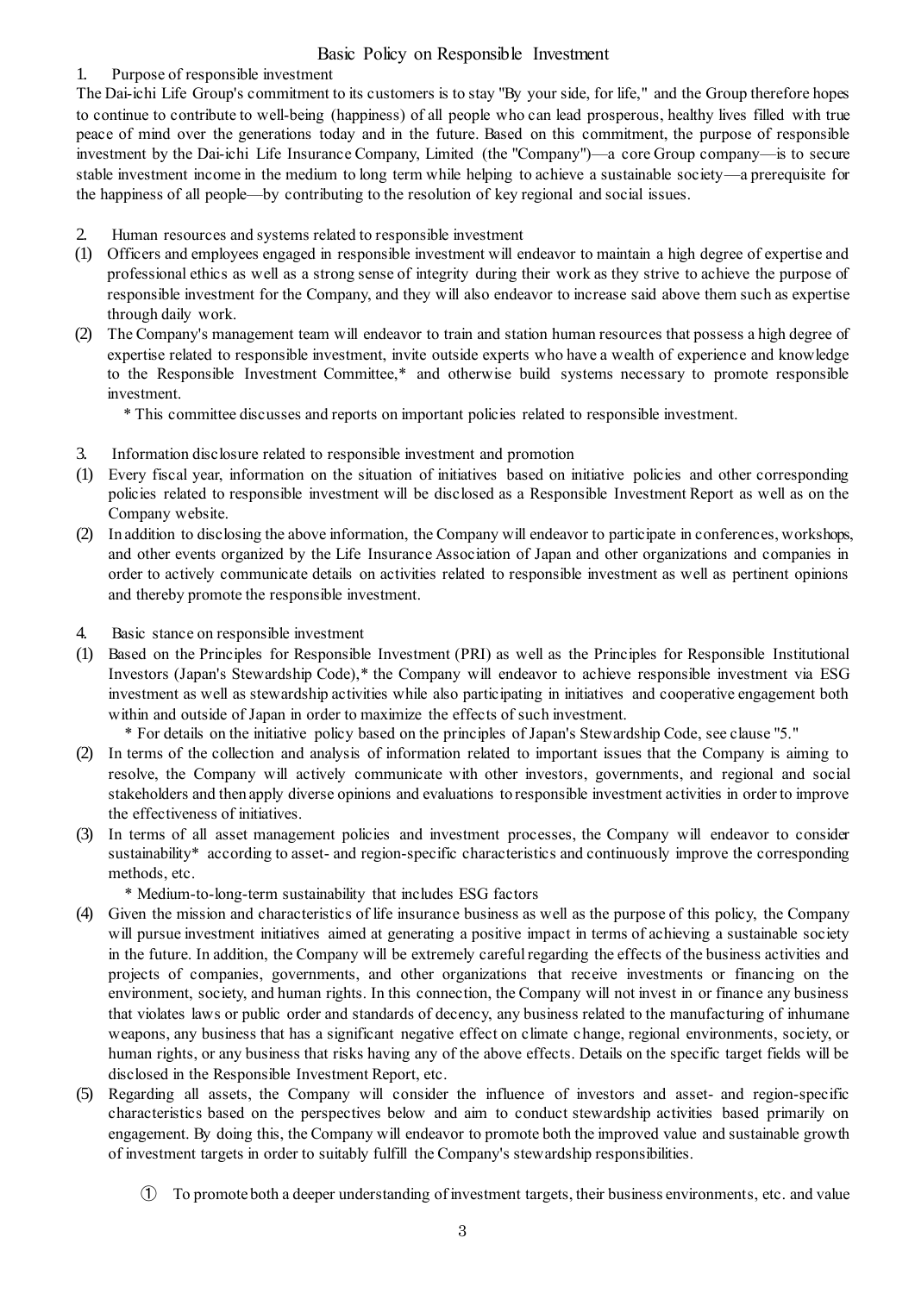# Basic Policy on Responsible Investment

## 1. Purpose of responsible investment

The Dai-ichi Life Group's commitment to its customers is to stay "By your side, for life," and the Group therefore hopes to continue to contribute to well-being (happiness) of all people who can lead prosperous, healthy lives filled with true peace of mind over the generations today and in the future. Based on this commitment, the purpose of responsible investment by the Dai-ichi Life Insurance Company, Limited (the "Company")—a core Group company—is to secure stable investment income in the medium to long term while helping to achieve a sustainable society—a prerequisite for the happiness of all people—by contributing to the resolution of key regional and social issues.

- 2. Human resources and systems related to responsible investment
- (1) Officers and employees engaged in responsible investment will endeavor to maintain a high degree of expertise and professional ethics as well as a strong sense of integrity during their work as they strive to achieve the purpose of responsible investment for the Company, and they will also endeavor to increase said above them such as expertise through daily work.
- (2) The Company's management team will endeavor to train and station human resources that possess a high degree of expertise related to responsible investment, invite outside experts who have a wealth of experience and knowledge to the Responsible Investment Committee,\* and otherwise build systems necessary to promote responsible investment.
	- \* This committee discusses and reports on important policies related to responsible investment.
- 3. Information disclosure related to responsible investment and promotion
- (1) Every fiscal year, information on the situation of initiatives based on initiative policies and other corresponding policies related to responsible investment will be disclosed as a Responsible Investment Report as well as on the Company website.
- (2) In addition to disclosing the above information, the Company will endeavor to participate in conferences, workshops, and other events organized by the Life Insurance Association of Japan and other organizations and companies in order to actively communicate details on activities related to responsible investment as well as pertinent opinions and thereby promote the responsible investment.
- 4. Basic stance on responsible investment
- (1) Based on the Principles for Responsible Investment (PRI) as well as the Principles for Responsible Institutional Investors (Japan's Stewardship Code),\* the Company will endeavor to achieve responsible investment via ESG investment as well as stewardship activities while also participating in initiatives and cooperative engagement both within and outside of Japan in order to maximize the effects of such investment.

\* For details on the initiative policy based on the principles of Japan's Stewardship Code, see clause "5."

- (2) In terms of the collection and analysis of information related to important issues that the Company is aiming to resolve, the Company will actively communicate with other investors, governments, and regional and social stakeholders and then apply diverse opinions and evaluations to responsible investment activities in order to improve the effectiveness of initiatives.
- (3) In terms of all asset management policies and investment processes, the Company will endeavor to consider sustainability\* according to asset- and region-specific characteristics and continuously improve the corresponding methods, etc.
	- \* Medium-to-long-term sustainability that includes ESG factors
- (4) Given the mission and characteristics of life insurance business as well as the purpose of this policy, the Company will pursue investment initiatives aimed at generating a positive impact in terms of achieving a sustainable society in the future. In addition, the Company will be extremely careful regarding the effects of the business activities and projects of companies, governments, and other organizations that receive investments or financing on the environment, society, and human rights. In this connection, the Company will not invest in or finance any business that violates laws or public order and standards of decency, any business related to the manufacturing of inhumane weapons, any business that has a significant negative effect on climate change, regional environments, society, or human rights, or any business that risks having any of the above effects. Details on the specific target fields will be disclosed in the Responsible Investment Report, etc.
- (5) Regarding all assets, the Company will consider the influence of investors and asset- and region-specific characteristics based on the perspectives below and aim to conduct stewardship activities based primarily on engagement. By doing this, the Company will endeavor to promote both the improved value and sustainable growth of investment targets in order to suitably fulfill the Company's stewardship responsibilities.
	- ① To promote both a deeper understanding of investment targets, their business environments, etc. and value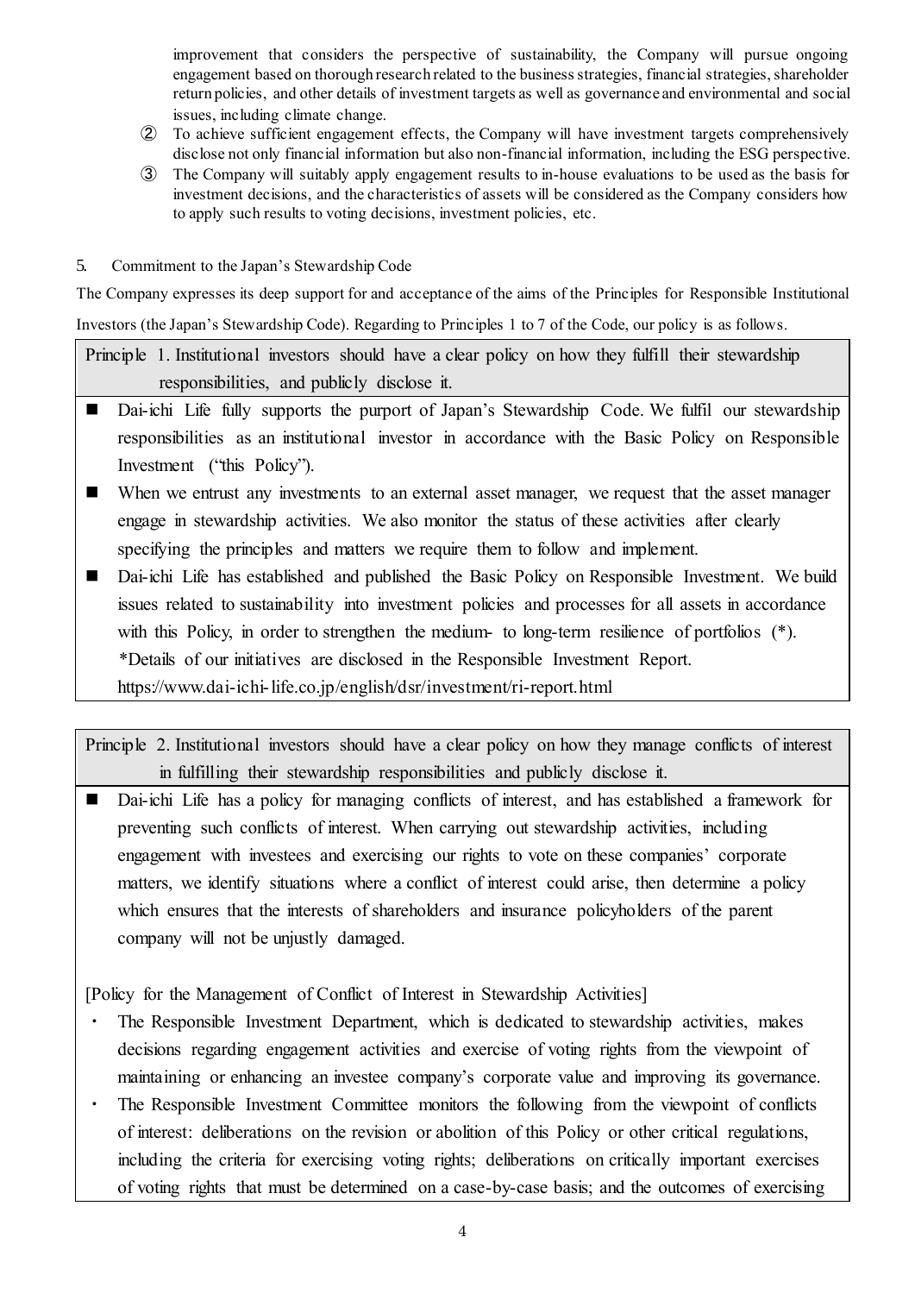improvement that considers the perspective of sustainability, the Company will pursue ongoing engagement based on thorough research related to the business strategies, financial strategies, shareholder return policies, and other details of investment targets as well as governance and environmental and social issues, including climate change.

- ② To achieve sufficient engagement effects, the Company will have investment targets comprehensively disclose not only financial information but also non-financial information, including the ESG perspective.
- ③ The Company will suitably apply engagement results to in-house evaluations to be used as the basis for investment decisions, and the characteristics of assets will be considered as the Company considers how to apply such results to voting decisions, investment policies, etc.
- 5. Commitment to the Japan's Stewardship Code

The Company expresses its deep support for and acceptance of the aims of the Principles for Responsible Institutional Investors (the Japan's Stewardship Code). Regarding to Principles 1 to 7 of the Code, our policy is as follows.

Principle 1. Institutional investors should have a clear policy on how they fulfill their stewardship responsibilities, and publicly disclose it.

- Dai-ichi Life fully supports the purport of Japan's Stewardship Code. We fulfil our stewardship responsibilities as an institutional investor in accordance with the Basic Policy on Responsible Investment ("this Policy").
- When we entrust any investments to an external asset manager, we request that the asset manager engage in stewardship activities. We also monitor the status of these activities after clearly specifying the principles and matters we require them to follow and implement.
- Dai-ichi Life has established and published the Basic Policy on Responsible Investment. We build issues related to sustainability into investment policies and processes for all assets in accordance with this Policy, in order to strengthen the medium- to long-term resilience of portfolios (\*). \*Details of our initiatives are disclosed in the Responsible Investment Report. https://www.dai-ichi-life.co.jp/english/dsr/investment/ri-report.html

Principle 2. Institutional investors should have a clear policy on how they manage conflicts of interest in fulfilling their stewardship responsibilities and publicly disclose it.

 Dai-ichi Life has a policy for managing conflicts of interest, and has established a framework for preventing such conflicts of interest. When carrying out stewardship activities, including engagement with investees and exercising our rights to vote on these companies' corporate matters, we identify situations where a conflict of interest could arise, then determine a policy which ensures that the interests of shareholders and insurance policyholders of the parent company will not be unjustly damaged.

[Policy for the Management of Conflict of Interest in Stewardship Activities]

- The Responsible Investment Department, which is dedicated to stewardship activities, makes decisions regarding engagement activities and exercise of voting rights from the viewpoint of maintaining or enhancing an investee company's corporate value and improving its governance.
- ・ The Responsible Investment Committee monitors the following from the viewpoint of conflicts of interest: deliberations on the revision or abolition of this Policy or other critical regulations, including the criteria for exercising voting rights; deliberations on critically important exercises of voting rights that must be determined on a case-by-case basis; and the outcomes of exercising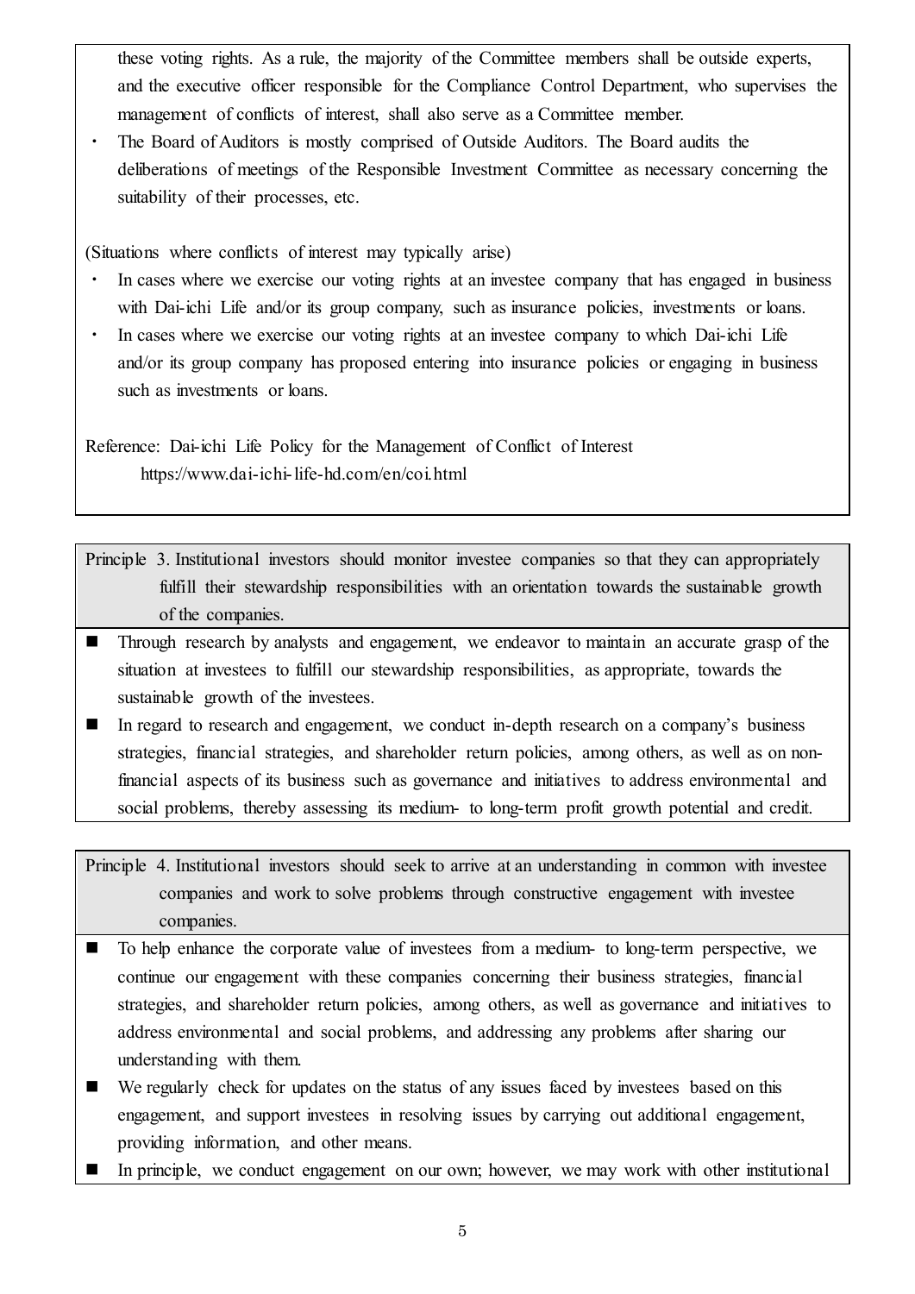these voting rights. As a rule, the majority of the Committee members shall be outside experts, and the executive officer responsible for the Compliance Control Department, who supervises the management of conflicts of interest, shall also serve as a Committee member.

The Board of Auditors is mostly comprised of Outside Auditors. The Board audits the deliberations of meetings of the Responsible Investment Committee as necessary concerning the suitability of their processes, etc.

(Situations where conflicts of interest may typically arise)

- In cases where we exercise our voting rights at an investee company that has engaged in business with Dai-ichi Life and/or its group company, such as insurance policies, investments or loans.
- ・ In cases where we exercise our voting rights at an investee company to which Dai-ichi Life and/or its group company has proposed entering into insurance policies or engaging in business such as investments or loans.

Reference: Dai-ichi Life Policy for the Management of Conflict of Interest https://www.dai-ichi-life-hd.com/en/coi.html

Principle 3. Institutional investors should monitor investee companies so that they can appropriately fulfill their stewardship responsibilities with an orientation towards the sustainable growth of the companies.

- Through research by analysts and engagement, we endeavor to maintain an accurate grasp of the situation at investees to fulfill our stewardship responsibilities, as appropriate, towards the sustainable growth of the investees.
- In regard to research and engagement, we conduct in-depth research on a company's business strategies, financial strategies, and shareholder return policies, among others, as well as on nonfinancial aspects of its business such as governance and initiatives to address environmental and social problems, thereby assessing its medium- to long-term profit growth potential and credit.

Principle 4. Institutional investors should seek to arrive at an understanding in common with investee companies and work to solve problems through constructive engagement with investee companies.

- To help enhance the corporate value of investees from a medium- to long-term perspective, we continue our engagement with these companies concerning their business strategies, financial strategies, and shareholder return policies, among others, as well as governance and initiatives to address environmental and social problems, and addressing any problems after sharing our understanding with them.
- We regularly check for updates on the status of any issues faced by investees based on this engagement, and support investees in resolving issues by carrying out additional engagement, providing information, and other means.
- In principle, we conduct engagement on our own; however, we may work with other institutional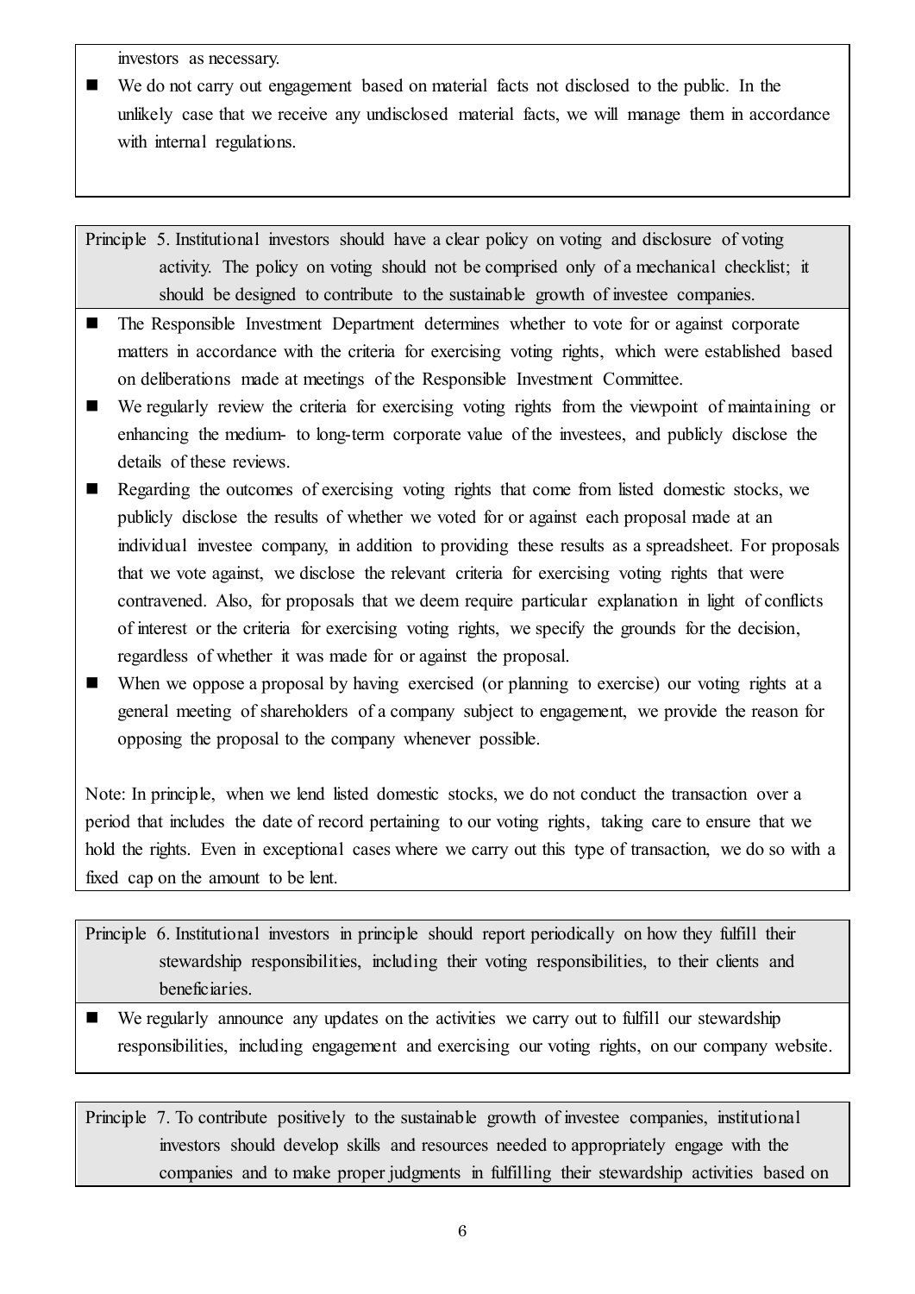investors as necessary.

 We do not carry out engagement based on material facts not disclosed to the public. In the unlikely case that we receive any undisclosed material facts, we will manage them in accordance with internal regulations.

Principle 5. Institutional investors should have a clear policy on voting and disclosure of voting activity. The policy on voting should not be comprised only of a mechanical checklist; it should be designed to contribute to the sustainable growth of investee companies.

- The Responsible Investment Department determines whether to vote for or against corporate matters in accordance with the criteria for exercising voting rights, which were established based on deliberations made at meetings of the Responsible Investment Committee.
- We regularly review the criteria for exercising voting rights from the viewpoint of maintaining or enhancing the medium- to long-term corporate value of the investees, and publicly disclose the details of these reviews.
- Regarding the outcomes of exercising voting rights that come from listed domestic stocks, we publicly disclose the results of whether we voted for or against each proposal made at an individual investee company, in addition to providing these results as a spreadsheet. For proposals that we vote against, we disclose the relevant criteria for exercising voting rights that were contravened. Also, for proposals that we deem require particular explanation in light of conflicts of interest or the criteria for exercising voting rights, we specify the grounds for the decision, regardless of whether it was made for or against the proposal.
- When we oppose a proposal by having exercised (or planning to exercise) our voting rights at a general meeting of shareholders of a company subject to engagement, we provide the reason for opposing the proposal to the company whenever possible.

Note: In principle, when we lend listed domestic stocks, we do not conduct the transaction over a period that includes the date of record pertaining to our voting rights, taking care to ensure that we hold the rights. Even in exceptional cases where we carry out this type of transaction, we do so with a fixed cap on the amount to be lent.

Principle 6. Institutional investors in principle should report periodically on how they fulfill their stewardship responsibilities, including their voting responsibilities, to their clients and beneficiaries.

 We regularly announce any updates on the activities we carry out to fulfill our stewardship responsibilities, including engagement and exercising our voting rights, on our company website.

Principle 7. To contribute positively to the sustainable growth of investee companies, institutional investors should develop skills and resources needed to appropriately engage with the companies and to make proper judgments in fulfilling their stewardship activities based on